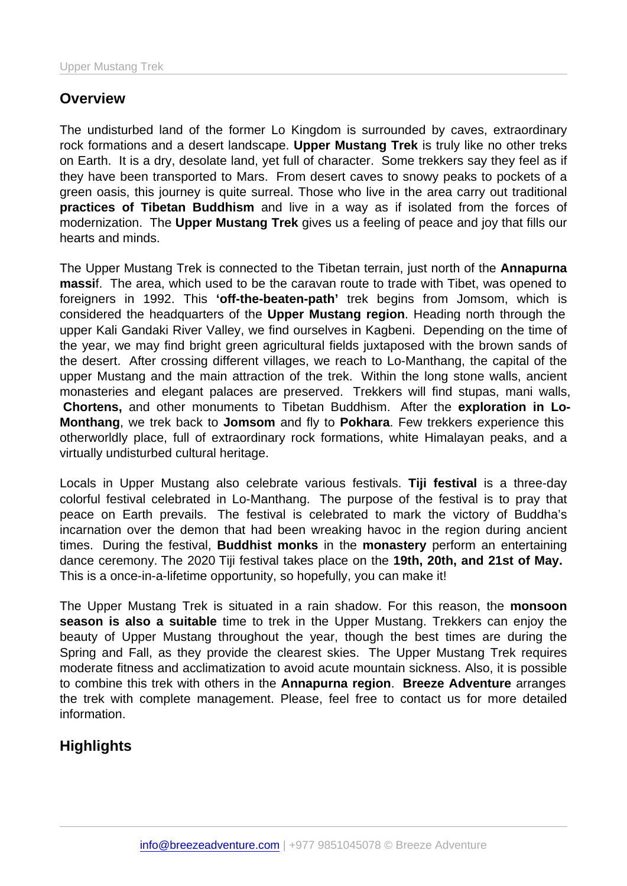## **Overview**

The undisturbed land of the former Lo Kingdom is surrounded by caves, extraordinary rock formations and a desert landscape. Upper Mustang Trek is truly like no other treks on Earth. It is a dry, desolate land, yet full of character. Some trekkers say they feel as if they have been transported to Mars. From desert caves to snowy peaks to pockets of a green oasis, this journey is quite surreal. Those who live in the area carry out traditional practices of Tibetan Buddhism and live in a way as if isolated from the forces of modernization. The Upper Mustang Trek gives us a feeling of peace and joy that fills our hearts and minds.

The Upper Mustang Trek is connected to the Tibetan terrain, just north of the Annapurna massi f. The area, which used to be the caravan route to trade with Tibet, was opened to foreigners in 1992. This 'off-the-beaten-path' trek begins from Jomsom, which is considered the headquarters of the Upper Mustang region . Heading north through the upper Kali Gandaki River Valley, we find ourselves in Kagbeni. Depending on the time of the year, we may find bright green agricultural fields juxtaposed with the brown sands of the desert. After crossing different villages, we reach to Lo-Manthang, the capital of the upper Mustang and the main attraction of the trek. Within the long stone walls, ancient monasteries and elegant palaces are preserved. Trekkers will find stupas, mani walls, Chortens, and other monuments to Tibetan Buddhism. After the exploration in Lo-Monthang , we trek back to Jomsom and fly to Pokhara . Few trekkers experience this otherworldly place, full of extraordinary rock formations, white Himalayan peaks, and a virtually undisturbed cultural heritage.

Locals in Upper Mustang also celebrate various festivals. Tiji festival is a three-day colorful festival celebrated in Lo-Manthang. The purpose of the festival is to pray that peace on Earth prevails. The festival is celebrated to mark the victory of Buddha's incarnation over the demon that had been wreaking havoc in the region during ancient times. During the festival, Buddhist monks in the monastery perform an entertaining dance ceremony. The 2020 Tiji festival takes place on the 19th, 20th, and 21st of May. This is a once-in-a-lifetime opportunity, so hopefully, you can make it!

The Upper Mustang Trek is situated in a rain shadow. For this reason, the monsoon season is also a suitable time to trek in the Upper Mustang. Trekkers can enjoy the beauty of Upper Mustang throughout the year, though the best times are during the Spring and Fall, as they provide the clearest skies. The Upper Mustang Trek requires moderate fitness and acclimatization to avoid acute mountain sickness. Also, it is possible to combine this trek with others in the Annapurna region . Breeze Adventure arranges the trek with complete management. Please, feel free to contact us for more detailed information.

**Highlights**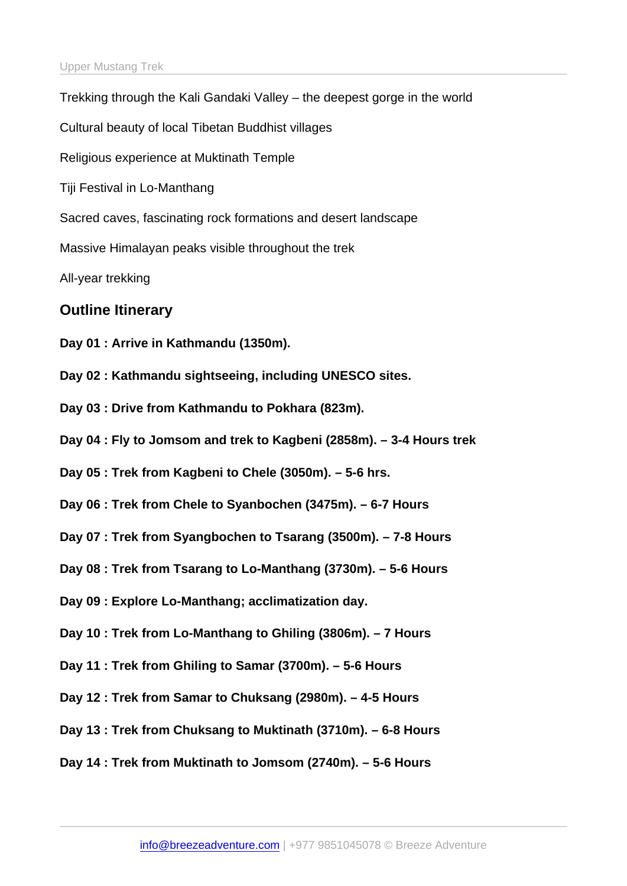| Trekking through the Kali Gandaki Valley - the deepest gorge in the world |
|---------------------------------------------------------------------------|
| Cultural beauty of local Tibetan Buddhist villages                        |
| Religious experience at Muktinath Temple                                  |
| Tiji Festival in Lo-Manthang                                              |
| Sacred caves, fascinating rock formations and desert landscape            |
| Massive Himalayan peaks visible throughout the trek                       |
| All-year trekking                                                         |
| <b>Outline Itinerary</b>                                                  |
| Day 01 : Arrive in Kathmandu (1350m).                                     |
| Day 02: Kathmandu sightseeing, including UNESCO sites.                    |
| Day 03 : Drive from Kathmandu to Pokhara (823m).                          |
| Day 04 : Fly to Jomsom and trek to Kagbeni (2858m). - 3-4 Hours trek      |
| Day 05 : Trek from Kagbeni to Chele (3050m). - 5-6 hrs.                   |
| Day 06 : Trek from Chele to Syanbochen (3475m). - 6-7 Hours               |
| Day 07: Trek from Syangbochen to Tsarang (3500m). - 7-8 Hours             |
| Day 08 : Trek from Tsarang to Lo-Manthang (3730m). - 5-6 Hours            |
| Day 09 : Explore Lo-Manthang; acclimatization day.                        |
| Day 10 : Trek from Lo-Manthang to Ghiling (3806m). - 7 Hours              |
| Day 11 : Trek from Ghiling to Samar (3700m). - 5-6 Hours                  |
| Day 12 : Trek from Samar to Chuksang (2980m). - 4-5 Hours                 |
| Day 13: Trek from Chuksang to Muktinath (3710m). - 6-8 Hours              |
| Day 14 : Trek from Muktinath to Jomsom (2740m). - 5-6 Hours               |